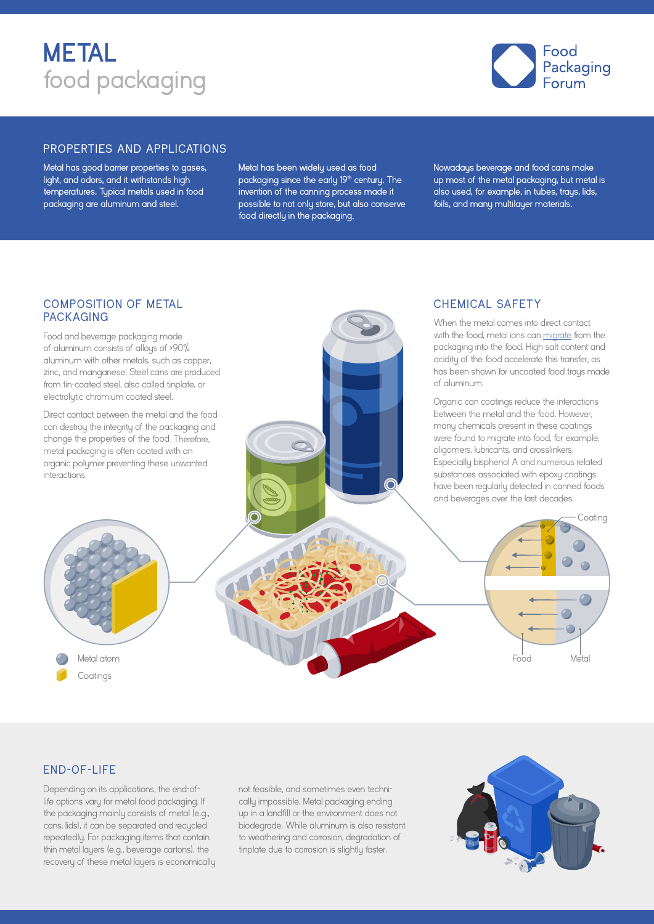



#### PROPERTIES AND APPLICATIONS

Metal has good barrier properties to gases, light, and odors, and it withstands high temperatures. Typical metals used in food packaging are aluminum and steel.

Metal has been widely used as food packaging since the early 19**th** century. The invention of the canning process made it possible to not only store, but also conserve food directly in the packaging.

Nowadays beverage and food cans make up most of the metal packaging, but metal is also used, for example, in tubes, trays, lids, foils, and many multilayer materials.

CHEMICAL SAFETY

#### COMPOSITION OF METAL **PACKAGING**

Food and beverage packaging made of aluminum consists of alloys of  $>90\%$ <br>aluminum with other metals, such as copper, zinc, and manganese. Steel cans are produced from tin-coated steel, also called tinplate, or electrolytic chromium coated steel. Direct contact between the metal and the food can destroy the integrity of the packaging and change the properties of the food. Therefore, metal packaging is often coated with an organic polymer preventing these unwanted interactions. When the metal comes into direct contact with the food, metal ions can [migrate](https://www.foodpackagingforum.org/resources/fact-sheet-en) from the packaging into the food. High salt content and acidity of the food accelerate this transfer, as has been shown for uncoated food traus made of aluminum. Organic can coatings reduce the interactions between the metal and the food. However, many chemicals present in these coatings were found to migrate into food, for example, oligomers, lubricants, and crosslinkers. Especially bisphenol A and numerous related substances associated with epoxy coatings have been regularly detected in canned foods and beverages over the last decades. Metal atom Coatings Food Metal **Coating** 

#### END-OF-LIFE

Depending on its applications, the end-oflife options vary for metal food packaging. If the packaging mainly consists of metal (e.g., cans, lids), it can be separated and recycled repeatedly. For packaging items that contain thin metal layers (e.g., beverage cartons), the recovery of these metal layers is economically not feasible, and sometimes even technically impossible. Metal packaging ending up in a landfill or the environment does not biodegrade. While aluminum is also resistant to weathering and corrosion, degradation of tinplate due to corrosion is slightly faster.